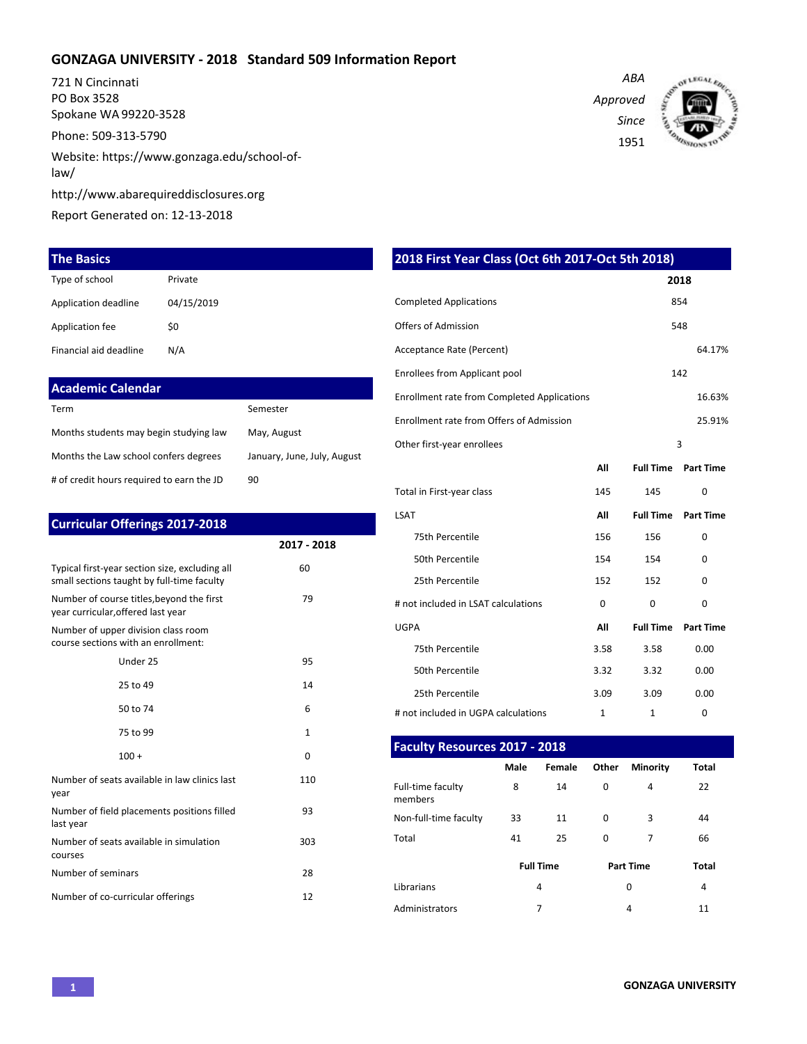### **GONZAGA UNIVERSITY - 2018 Standard 509 Information Report**

721 N Cincinnati PO Box 3528 Spokane WA 99220-3528

Phone: 509-313-5790

Website: https://www.gonzaga.edu/school-oflaw/

http://www.abarequireddisclosures.org

Report Generated on: 12-13-2018

| <b>The Basics</b>      |            |
|------------------------|------------|
| Type of school         | Private    |
| Application deadline   | 04/15/2019 |
| Application fee        | \$0        |
| Financial aid deadline | N/A        |

| <b>Academic Calendar</b> |          |
|--------------------------|----------|
| Term                     | Semester |

| -------                                   | JEHIEJLEI                   |
|-------------------------------------------|-----------------------------|
| Months students may begin studying law    | May, August                 |
| Months the Law school confers degrees     | January, June, July, August |
| # of credit hours required to earn the JD | 90                          |

| <b>Curricular Offerings 2017-2018</b>                                                        |              |
|----------------------------------------------------------------------------------------------|--------------|
|                                                                                              | 2017 - 2018  |
| Typical first-year section size, excluding all<br>small sections taught by full-time faculty | 60           |
| Number of course titles, beyond the first<br>year curricular, offered last year              | 79           |
| Number of upper division class room<br>course sections with an enrollment:                   |              |
| Under 25                                                                                     | 95           |
| 25 to 49                                                                                     | 14           |
| 50 to 74                                                                                     | 6            |
| 75 to 99                                                                                     | $\mathbf{1}$ |
| $100 +$                                                                                      | $\Omega$     |
| Number of seats available in law clinics last<br>year                                        | 110          |
| Number of field placements positions filled<br>last year                                     | 93           |
| Number of seats available in simulation<br>courses                                           | 303          |
| Number of seminars                                                                           | 28           |
| Number of co-curricular offerings                                                            | 12           |

*ABA Approved Since* 1951



| 2018 First Year Class (Oct 6th 2017-Oct 5th 2018)  |              |                  |                  |  |  |  |  |
|----------------------------------------------------|--------------|------------------|------------------|--|--|--|--|
|                                                    |              |                  | 2018             |  |  |  |  |
| <b>Completed Applications</b><br>854               |              |                  |                  |  |  |  |  |
| <b>Offers of Admission</b>                         |              |                  | 548              |  |  |  |  |
| Acceptance Rate (Percent)                          |              |                  | 64.17%           |  |  |  |  |
| <b>Enrollees from Applicant pool</b>               |              |                  | 142              |  |  |  |  |
| <b>Enrollment rate from Completed Applications</b> |              |                  | 16.63%           |  |  |  |  |
| Enrollment rate from Offers of Admission<br>25.91% |              |                  |                  |  |  |  |  |
| $\overline{3}$<br>Other first-year enrollees       |              |                  |                  |  |  |  |  |
|                                                    | All          | <b>Full Time</b> | <b>Part Time</b> |  |  |  |  |
| Total in First-year class                          | 145          | 145              | $\Omega$         |  |  |  |  |
| <b>LSAT</b>                                        | All          | <b>Full Time</b> | <b>Part Time</b> |  |  |  |  |
| 75th Percentile                                    | 156          | 156              | $\Omega$         |  |  |  |  |
| 50th Percentile                                    | 154          | 154              | $\Omega$         |  |  |  |  |
| 25th Percentile                                    | 152          | 152              | $\Omega$         |  |  |  |  |
| # not included in LSAT calculations                | $\Omega$     | 0                | 0                |  |  |  |  |
| <b>UGPA</b>                                        | All          | <b>Full Time</b> | <b>Part Time</b> |  |  |  |  |
| 75th Percentile                                    | 3.58         | 3.58             | 0.00             |  |  |  |  |
| 50th Percentile                                    | 3.32         | 3.32             | 0.00             |  |  |  |  |
| 25th Percentile                                    | 3.09         | 3.09             | 0.00             |  |  |  |  |
| # not included in UGPA calculations                | $\mathbf{1}$ | $\mathbf{1}$     | $\Omega$         |  |  |  |  |

### **Faculty Resources 2017 - 2018**

|                              | Male | Female           | Other    | <b>Minority</b>  | Total |
|------------------------------|------|------------------|----------|------------------|-------|
| Full-time faculty<br>members | 8    | 14               | 0        | 4                | 22    |
| Non-full-time faculty        | 33   | 11               | $\Omega$ | 3                | 44    |
| Total                        | 41   | 25               | $\Omega$ | 7                | 66    |
|                              |      | <b>Full Time</b> |          | <b>Part Time</b> | Total |
| Librarians                   |      | 4                |          | 0                | 4     |
| Administrators               |      | 7                |          | 4                | 11    |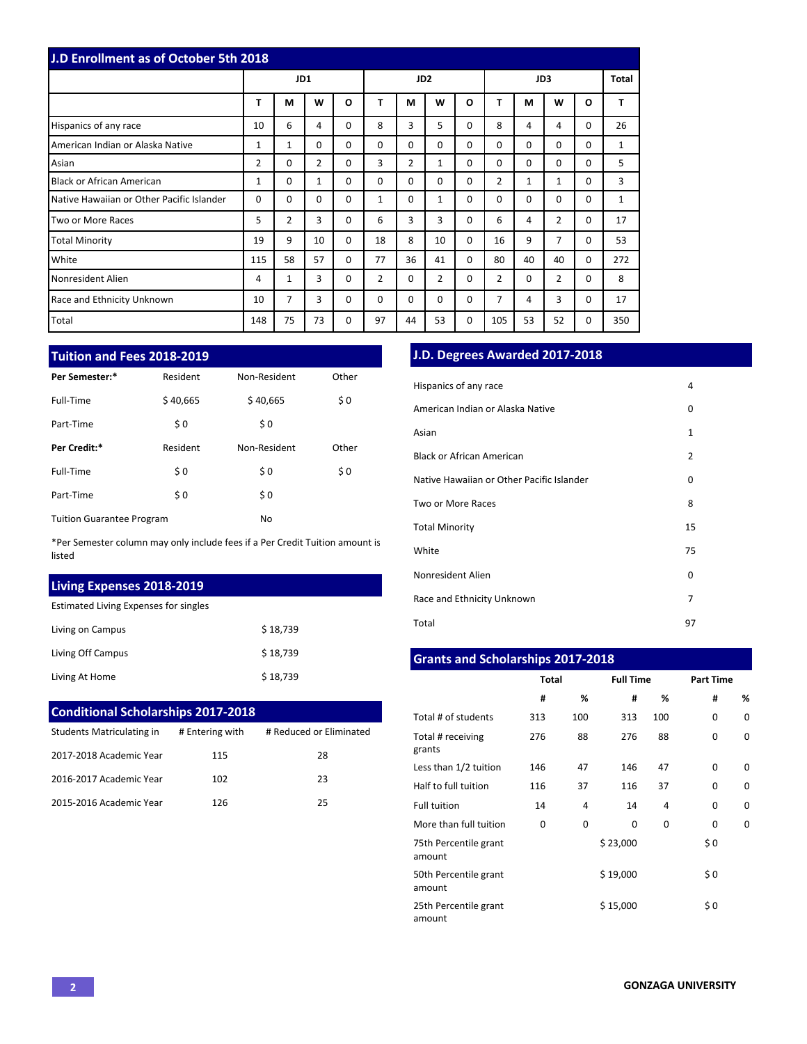| <b>J.D Enrollment as of October 5th 2018</b> |                |          |    |                 |          |    |              |          |                |              |                |          |              |
|----------------------------------------------|----------------|----------|----|-----------------|----------|----|--------------|----------|----------------|--------------|----------------|----------|--------------|
|                                              | JD1            |          |    | JD <sub>2</sub> |          |    | JD3          |          |                | Total        |                |          |              |
|                                              | т              | М        | W  | O               | т        | М  | W            | O        | т              | М            | W              | O        | T            |
| Hispanics of any race                        | 10             | 6        | 4  | 0               | 8        | 3  | 5            | $\Omega$ | 8              | 4            | 4              | $\Omega$ | 26           |
| American Indian or Alaska Native             | 1              | 1        | 0  | 0               | 0        | 0  | $\Omega$     | $\Omega$ | 0              | $\Omega$     | $\Omega$       | 0        | $\mathbf{1}$ |
| Asian                                        | $\overline{2}$ | 0        | 2  | 0               | 3        | 2  | $\mathbf{1}$ | $\Omega$ | 0              | $\Omega$     | $\Omega$       | 0        | 5            |
| <b>Black or African American</b>             | $\mathbf{1}$   | $\Omega$ | 1  | $\Omega$        | $\Omega$ | 0  | $\Omega$     | $\Omega$ | $\overline{2}$ | $\mathbf{1}$ | $\mathbf{1}$   | $\Omega$ | 3            |
| Native Hawaiian or Other Pacific Islander    | $\Omega$       | $\Omega$ | 0  | $\Omega$        | 1        | 0  | $\mathbf{1}$ | $\Omega$ | $\Omega$       | $\Omega$     | $\Omega$       | 0        | $\mathbf{1}$ |
| Two or More Races                            | 5              | 2        | 3  | 0               | 6        | 3  | 3            | $\Omega$ | 6              | 4            | $\overline{2}$ | 0        | 17           |
| <b>Total Minority</b>                        | 19             | 9        | 10 | $\Omega$        | 18       | 8  | 10           | $\Omega$ | 16             | 9            | 7              | $\Omega$ | 53           |
| White                                        | 115            | 58       | 57 | 0               | 77       | 36 | 41           | $\Omega$ | 80             | 40           | 40             | $\Omega$ | 272          |
| Nonresident Alien                            | 4              | 1        | 3  | 0               | 2        | 0  | 2            | $\Omega$ | $\overline{2}$ | $\Omega$     | $\overline{2}$ | 0        | 8            |
| Race and Ethnicity Unknown                   | 10             | 7        | 3  | 0               | $\Omega$ | 0  | $\Omega$     | $\Omega$ | $\overline{7}$ | 4            | 3              | 0        | 17           |
| Total                                        | 148            | 75       | 73 | 0               | 97       | 44 | 53           | 0        | 105            | 53           | 52             | 0        | 350          |

### **Tuition and Fees 2018-2019**

| Per Semester:*                   | Resident | Non-Resident | Other |
|----------------------------------|----------|--------------|-------|
| Full-Time                        | \$40,665 | \$40,665     | \$0   |
| Part-Time                        | \$0      | \$0          |       |
| Per Credit:*                     | Resident | Non-Resident | Other |
| Full-Time                        | \$0      | \$0          | \$0   |
| Part-Time                        | \$0      | \$0          |       |
| <b>Tuition Guarantee Program</b> |          | No           |       |

\*Per Semester column may only include fees if a Per Credit Tuition amount is listed

## **Living Expenses 2018-2019**

Estimated Living Expenses for singles

| Living on Campus  | \$18.739 |
|-------------------|----------|
| Living Off Campus | \$18.739 |
| Living At Home    | \$18,739 |

# **Conditional Scholarships 2017-2018**

| Students Matriculating in | # Entering with | # Reduced or Eliminated |
|---------------------------|-----------------|-------------------------|
| 2017-2018 Academic Year   | 115             | 28                      |
| 2016-2017 Academic Year   | 102             | 23                      |
| 2015-2016 Academic Year   | 126             | 25                      |

## **J.D. Degrees Awarded 2017-2018**

| Hispanics of any race                     | 4              |
|-------------------------------------------|----------------|
| American Indian or Alaska Native          | 0              |
| Asian                                     | $\mathbf{1}$   |
| <b>Black or African American</b>          | $\overline{2}$ |
| Native Hawaiian or Other Pacific Islander | 0              |
| Two or More Races                         | 8              |
| <b>Total Minority</b>                     | 15             |
| White                                     | 75             |
| Nonresident Alien                         | 0              |
| Race and Ethnicity Unknown                | 7              |
| Total                                     | 97             |

# **Grants and Scholarships 2017-2018**

|                                 | <b>Total</b> |     | <b>Full Time</b> |     | <b>Part Time</b> |          |  |
|---------------------------------|--------------|-----|------------------|-----|------------------|----------|--|
|                                 | #            | %   | #                | %   | #                | ℅        |  |
| Total # of students             | 313          | 100 | 313              | 100 | 0                | 0        |  |
| Total # receiving<br>grants     | 276          | 88  | 276              | 88  | 0                | $\Omega$ |  |
| Less than 1/2 tuition           | 146          | 47  | 146              | 47  | $\Omega$         | $\Omega$ |  |
| Half to full tuition            | 116          | 37  | 116              | 37  | 0                | $\Omega$ |  |
| <b>Full tuition</b>             | 14           | 4   | 14               | 4   | 0                | $\Omega$ |  |
| More than full tuition          | 0            | 0   | 0                | 0   | 0                | $\Omega$ |  |
| 75th Percentile grant<br>amount |              |     | \$23,000         |     | \$0              |          |  |
| 50th Percentile grant<br>amount |              |     | \$19,000         |     | \$0              |          |  |
| 25th Percentile grant<br>amount |              |     | \$15,000         |     | \$0              |          |  |